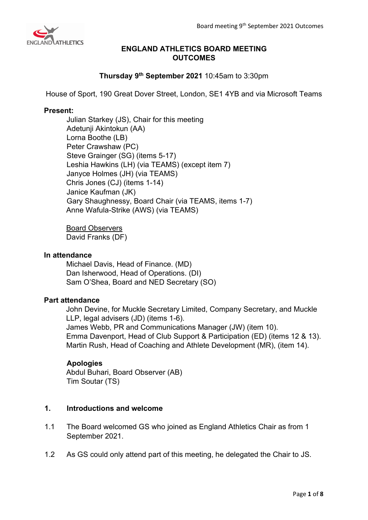

# **ENGLAND ATHLETICS BOARD MEETING OUTCOMES**

# **Thursday 9th September 2021** 10:45am to 3:30pm

House of Sport, 190 Great Dover Street, London, SE1 4YB and via Microsoft Teams

## **Present:**

Julian Starkey (JS), Chair for this meeting Adetunji Akintokun (AA) Lorna Boothe (LB) Peter Crawshaw (PC) Steve Grainger (SG) (items 5-17) Leshia Hawkins (LH) (via TEAMS) (except item 7) Janyce Holmes (JH) (via TEAMS) Chris Jones (CJ) (items 1-14) Janice Kaufman (JK) Gary Shaughnessy, Board Chair (via TEAMS, items 1-7) Anne Wafula-Strike (AWS) (via TEAMS)

Board Observers David Franks (DF)

## **In attendance**

Michael Davis, Head of Finance. (MD) Dan Isherwood, Head of Operations. (DI) Sam O'Shea, Board and NED Secretary (SO)

## **Part attendance**

John Devine, for Muckle Secretary Limited, Company Secretary, and Muckle LLP, legal advisers (JD) (items 1-6). James Webb, PR and Communications Manager (JW) (item 10). Emma Davenport, Head of Club Support & Participation (ED) (items 12 & 13). Martin Rush, Head of Coaching and Athlete Development (MR), (item 14).

## **Apologies**

Abdul Buhari, Board Observer (AB) Tim Soutar (TS)

## **1. Introductions and welcome**

- 1.1 The Board welcomed GS who joined as England Athletics Chair as from 1 September 2021.
- 1.2 As GS could only attend part of this meeting, he delegated the Chair to JS.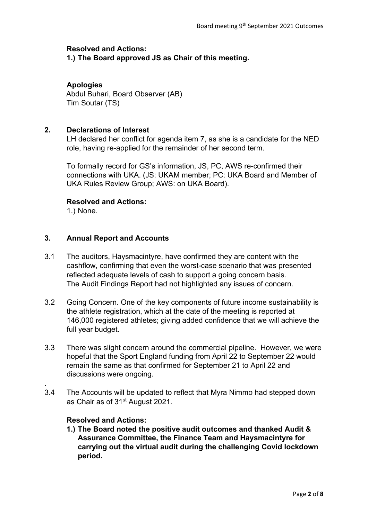#### **Resolved and Actions:**

**1.) The Board approved JS as Chair of this meeting.**

## **Apologies**

Abdul Buhari, Board Observer (AB) Tim Soutar (TS)

## **2. Declarations of Interest**

LH declared her conflict for agenda item 7, as she is a candidate for the NED role, having re-applied for the remainder of her second term.

To formally record for GS's information, JS, PC, AWS re-confirmed their connections with UKA. (JS: UKAM member; PC: UKA Board and Member of UKA Rules Review Group; AWS: on UKA Board).

## **Resolved and Actions:**

1.) None.

## **3. Annual Report and Accounts**

- 3.1 The auditors, Haysmacintyre, have confirmed they are content with the cashflow, confirming that even the worst-case scenario that was presented reflected adequate levels of cash to support a going concern basis. The Audit Findings Report had not highlighted any issues of concern.
- 3.2 Going Concern. One of the key components of future income sustainability is the athlete registration, which at the date of the meeting is reported at 146,000 registered athletes; giving added confidence that we will achieve the full year budget.
- 3.3 There was slight concern around the commercial pipeline. However, we were hopeful that the Sport England funding from April 22 to September 22 would remain the same as that confirmed for September 21 to April 22 and discussions were ongoing.
- 3.4 The Accounts will be updated to reflect that Myra Nimmo had stepped down as Chair as of 31st August 2021.

## **Resolved and Actions:**

.

**1.) The Board noted the positive audit outcomes and thanked Audit & Assurance Committee, the Finance Team and Haysmacintyre for carrying out the virtual audit during the challenging Covid lockdown period.**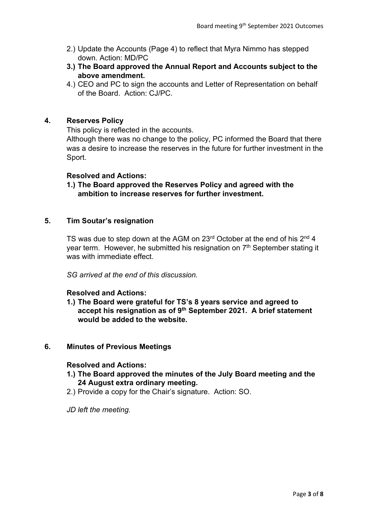- 2.) Update the Accounts (Page 4) to reflect that Myra Nimmo has stepped down. Action: MD/PC
- **3.) The Board approved the Annual Report and Accounts subject to the above amendment.**
- 4.) CEO and PC to sign the accounts and Letter of Representation on behalf of the Board. Action: CJ/PC.

## **4. Reserves Policy**

This policy is reflected in the accounts.

Although there was no change to the policy, PC informed the Board that there was a desire to increase the reserves in the future for further investment in the Sport.

#### **Resolved and Actions:**

**1.) The Board approved the Reserves Policy and agreed with the ambition to increase reserves for further investment.** 

## **5. Tim Soutar's resignation**

TS was due to step down at the AGM on 23<sup>rd</sup> October at the end of his 2<sup>nd</sup> 4 year term. However, he submitted his resignation on  $7<sup>th</sup>$  September stating it was with immediate effect.

*SG arrived at the end of this discussion.*

## **Resolved and Actions:**

**1.) The Board were grateful for TS's 8 years service and agreed to accept his resignation as of 9th September 2021. A brief statement would be added to the website.**

## **6. Minutes of Previous Meetings**

#### **Resolved and Actions:**

- **1.) The Board approved the minutes of the July Board meeting and the 24 August extra ordinary meeting.**
- 2.) Provide a copy for the Chair's signature. Action: SO.
- *JD left the meeting.*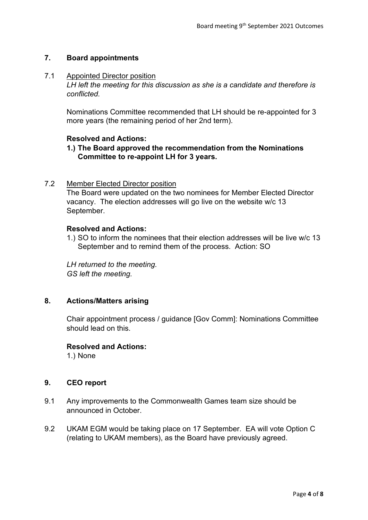# **7. Board appointments**

#### 7.1 Appointed Director position

*LH left the meeting for this discussion as she is a candidate and therefore is conflicted.*

Nominations Committee recommended that LH should be re-appointed for 3 more years (the remaining period of her 2nd term).

## **Resolved and Actions:**

**1.) The Board approved the recommendation from the Nominations Committee to re-appoint LH for 3 years.**

# 7.2 Member Elected Director position

The Board were updated on the two nominees for Member Elected Director vacancy. The election addresses will go live on the website w/c 13 September.

## **Resolved and Actions:**

1.) SO to inform the nominees that their election addresses will be live w/c 13 September and to remind them of the process. Action: SO

*LH returned to the meeting. GS left the meeting.* 

# **8. Actions/Matters arising**

Chair appointment process / guidance [Gov Comm]: Nominations Committee should lead on this.

## **Resolved and Actions:**

1.) None

## **9. CEO report**

- 9.1 Any improvements to the Commonwealth Games team size should be announced in October.
- 9.2 UKAM EGM would be taking place on 17 September. EA will vote Option C (relating to UKAM members), as the Board have previously agreed.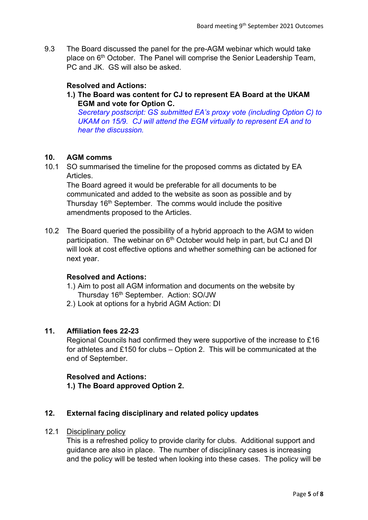9.3 The Board discussed the panel for the pre-AGM webinar which would take place on 6th October. The Panel will comprise the Senior Leadership Team, PC and JK. GS will also be asked.

## **Resolved and Actions:**

**1.) The Board was content for CJ to represent EA Board at the UKAM EGM and vote for Option C.**

*Secretary postscript: GS submitted EA's proxy vote (including Option C) to UKAM on 15/9. CJ will attend the EGM virtually to represent EA and to hear the discussion.*

## **10. AGM comms**

10.1 SO summarised the timeline for the proposed comms as dictated by EA Articles.

The Board agreed it would be preferable for all documents to be communicated and added to the website as soon as possible and by Thursday 16<sup>th</sup> September. The comms would include the positive amendments proposed to the Articles.

10.2 The Board queried the possibility of a hybrid approach to the AGM to widen participation. The webinar on 6<sup>th</sup> October would help in part, but CJ and DI will look at cost effective options and whether something can be actioned for next year.

## **Resolved and Actions:**

- 1.) Aim to post all AGM information and documents on the website by Thursday 16th September. Action: SO/JW
- 2.) Look at options for a hybrid AGM Action: DI

## **11. Affiliation fees 22-23**

Regional Councils had confirmed they were supportive of the increase to £16 for athletes and £150 for clubs – Option 2. This will be communicated at the end of September.

## **Resolved and Actions:**

**1.) The Board approved Option 2.**

## **12. External facing disciplinary and related policy updates**

#### 12.1 Disciplinary policy

This is a refreshed policy to provide clarity for clubs. Additional support and guidance are also in place. The number of disciplinary cases is increasing and the policy will be tested when looking into these cases. The policy will be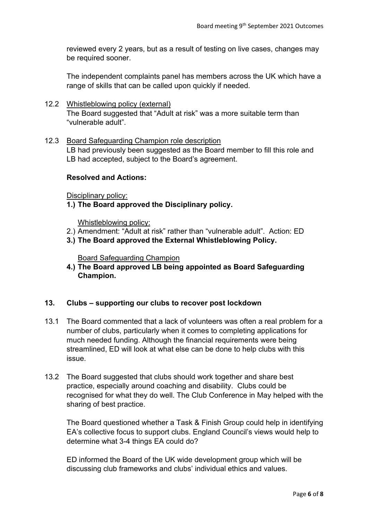reviewed every 2 years, but as a result of testing on live cases, changes may be required sooner.

The independent complaints panel has members across the UK which have a range of skills that can be called upon quickly if needed.

12.2 Whistleblowing policy (external) The Board suggested that "Adult at risk" was a more suitable term than "vulnerable adult".

## 12.3 Board Safeguarding Champion role description

LB had previously been suggested as the Board member to fill this role and LB had accepted, subject to the Board's agreement.

#### **Resolved and Actions:**

Disciplinary policy:

**1.) The Board approved the Disciplinary policy.**

Whistleblowing policy:

- 2.) Amendment: "Adult at risk" rather than "vulnerable adult". Action: ED
- **3.) The Board approved the External Whistleblowing Policy.**

Board Safeguarding Champion

**4.) The Board approved LB being appointed as Board Safeguarding Champion.**

## **13. Clubs – supporting our clubs to recover post lockdown**

- 13.1 The Board commented that a lack of volunteers was often a real problem for a number of clubs, particularly when it comes to completing applications for much needed funding. Although the financial requirements were being streamlined, ED will look at what else can be done to help clubs with this issue.
- 13.2 The Board suggested that clubs should work together and share best practice, especially around coaching and disability. Clubs could be recognised for what they do well. The Club Conference in May helped with the sharing of best practice.

The Board questioned whether a Task & Finish Group could help in identifying EA's collective focus to support clubs. England Council's views would help to determine what 3-4 things EA could do?

ED informed the Board of the UK wide development group which will be discussing club frameworks and clubs' individual ethics and values.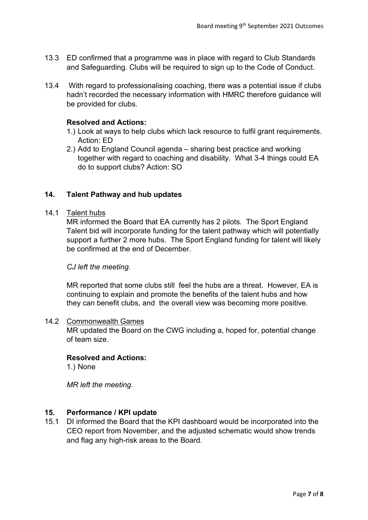- 13.3 ED confirmed that a programme was in place with regard to Club Standards and Safeguarding. Clubs will be required to sign up to the Code of Conduct.
- 13.4 With regard to professionalising coaching, there was a potential issue if clubs hadn't recorded the necessary information with HMRC therefore guidance will be provided for clubs.

#### **Resolved and Actions:**

- 1.) Look at ways to help clubs which lack resource to fulfil grant requirements. Action: ED
- 2.) Add to England Council agenda sharing best practice and working together with regard to coaching and disability. What 3-4 things could EA do to support clubs? Action: SO

## **14. Talent Pathway and hub updates**

#### 14.1 Talent hubs

MR informed the Board that EA currently has 2 pilots. The Sport England Talent bid will incorporate funding for the talent pathway which will potentially support a further 2 more hubs. The Sport England funding for talent will likely be confirmed at the end of December.

#### *CJ left the meeting.*

MR reported that some clubs still feel the hubs are a threat. However, EA is continuing to explain and promote the benefits of the talent hubs and how they can benefit clubs, and the overall view was becoming more positive.

#### 14.2 Commonwealth Games

MR updated the Board on the CWG including a, hoped for, potential change of team size.

#### **Resolved and Actions:**

1.) None

*MR left the meeting.*

#### **15. Performance / KPI update**

15.1 DI informed the Board that the KPI dashboard would be incorporated into the CEO report from November, and the adjusted schematic would show trends and flag any high-risk areas to the Board.